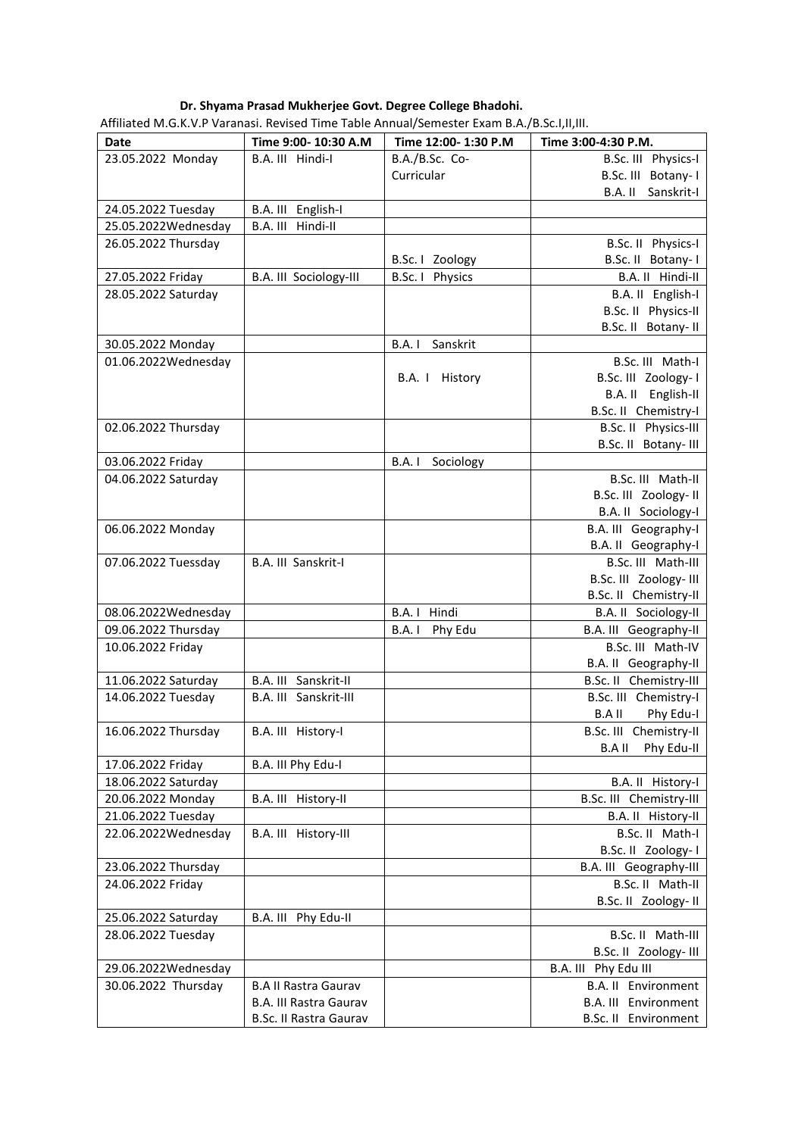## **Dr. Shyama Prasad Mukherjee Govt. Degree College Bhadohi.**

| <b>Date</b>         | Time 9:00-10:30 A.M           | Time 12:00-1:30 P.M | Time 3:00-4:30 P.M.         |
|---------------------|-------------------------------|---------------------|-----------------------------|
| 23.05.2022 Monday   | B.A. III Hindi-I              | B.A./B.Sc. Co-      | B.Sc. III Physics-I         |
|                     |                               | Curricular          | B.Sc. III Botany-I          |
|                     |                               |                     | B.A. II Sanskrit-I          |
| 24.05.2022 Tuesday  | B.A. III English-I            |                     |                             |
| 25.05.2022Wednesday | B.A. III Hindi-II             |                     |                             |
| 26.05.2022 Thursday |                               |                     | B.Sc. II Physics-I          |
|                     |                               | B.Sc.   Zoology     | B.Sc. II Botany-1           |
| 27.05.2022 Friday   | B.A. III Sociology-III        | B.Sc. I Physics     | B.A. II Hindi-II            |
| 28.05.2022 Saturday |                               |                     | B.A. II English-I           |
|                     |                               |                     | B.Sc. II Physics-II         |
|                     |                               |                     | B.Sc. II Botany- II         |
| 30.05.2022 Monday   |                               | Sanskrit<br>B.A. I  |                             |
| 01.06.2022Wednesday |                               |                     | B.Sc. III Math-I            |
|                     |                               | History<br>B.A. I   | B.Sc. III Zoology-1         |
|                     |                               |                     | B.A. II English-II          |
|                     |                               |                     | B.Sc. II Chemistry-I        |
| 02.06.2022 Thursday |                               |                     | B.Sc. II Physics-III        |
|                     |                               |                     | B.Sc. II Botany- III        |
| 03.06.2022 Friday   |                               | B.A. I<br>Sociology |                             |
| 04.06.2022 Saturday |                               |                     | B.Sc. III Math-II           |
|                     |                               |                     | B.Sc. III Zoology- II       |
|                     |                               |                     | B.A. II Sociology-I         |
| 06.06.2022 Monday   |                               |                     | B.A. III Geography-I        |
|                     |                               |                     | B.A. II Geography-I         |
| 07.06.2022 Tuessday | B.A. III Sanskrit-I           |                     | B.Sc. III Math-III          |
|                     |                               |                     | B.Sc. III Zoology- III      |
|                     |                               |                     | B.Sc. II Chemistry-II       |
| 08.06.2022Wednesday |                               | Hindi<br>B.A. I     | B.A. II Sociology-II        |
| 09.06.2022 Thursday |                               | B.A. I<br>Phy Edu   | B.A. III Geography-II       |
| 10.06.2022 Friday   |                               |                     | B.Sc. III Math-IV           |
|                     |                               |                     | B.A. II Geography-II        |
| 11.06.2022 Saturday | B.A. III Sanskrit-II          |                     | B.Sc. II Chemistry-III      |
| 14.06.2022 Tuesday  | B.A. III Sanskrit-III         |                     | B.Sc. III Chemistry-I       |
|                     |                               |                     | B.A II<br>Phy Edu-I         |
| 16.06.2022 Thursday | B.A. III History-I            |                     | B.Sc. III Chemistry-II      |
|                     |                               |                     | <b>B.AII</b><br>Phy Edu-II  |
| 17.06.2022 Friday   | B.A. III Phy Edu-I            |                     |                             |
| 18.06.2022 Saturday |                               |                     | B.A. II History-I           |
| 20.06.2022 Monday   | B.A. III History-II           |                     | B.Sc. III Chemistry-III     |
| 21.06.2022 Tuesday  |                               |                     | B.A. II History-II          |
| 22.06.2022Wednesday | B.A. III History-III          |                     | B.Sc. II Math-I             |
|                     |                               |                     | B.Sc. II Zoology-1          |
| 23.06.2022 Thursday |                               |                     | B.A. III Geography-III      |
| 24.06.2022 Friday   |                               |                     | B.Sc. II Math-II            |
|                     |                               |                     | B.Sc. II Zoology- II        |
| 25.06.2022 Saturday | B.A. III Phy Edu-II           |                     |                             |
| 28.06.2022 Tuesday  |                               |                     | B.Sc. II Math-III           |
|                     |                               |                     | B.Sc. II Zoology- III       |
| 29.06.2022Wednesday |                               |                     | B.A. III Phy Edu III        |
| 30.06.2022 Thursday | <b>B.A II Rastra Gaurav</b>   |                     | <b>B.A. II Environment</b>  |
|                     | <b>B.A. III Rastra Gaurav</b> |                     | <b>B.A. III</b> Environment |
|                     | <b>B.Sc. II Rastra Gaurav</b> |                     | B.Sc. II Environment        |

Affiliated M.G.K.V.P Varanasi. Revised Time Table Annual/Semester Exam B.A./B.Sc.I,II,III.